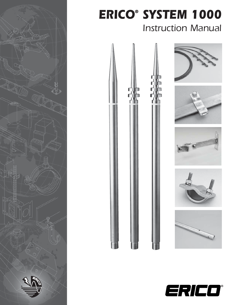

# *ERICO® SYSTEM 1000* Instruction Manual



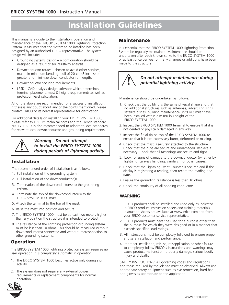### **Installation Guidelines**

This manual is a guide to the installation, operation and maintenance of the ERICO® SYSTEM 1000 Lightning Protection System. It assumes that the system to be installed has been designed by an authorized ERICO representative. The system design will include:

- Grounding systems design  $-$  a configuration should be designed as a result of soil resistivity analysis.
- Downconductor routes chosen to avoid other services, maintain minimum bending radii of 20 cm (8 inches) or greater and minimize down conductor run length.
- Downconductor securing requirements.
- LPSD CAD analysis design software which determines terminal placement, mast & height requirements as well as protection level calculation.

All of the above are recommended for a successful installation. If there is any doubt about any of the points mentioned, please contact ERICO or its nearest representative for clarification.

For additional details on installing your ERICO SYSTEM 1000, please refer to ERICO's technical notes and the French standard NFC17-102. It is also recommended to adhere to local standards for relevant local downconductor and grounding requirements.



*Warning - Do not attempt to install the ERICO SYSTEM 1000 during periods of lightning activity.*

#### **Installation**

The recommended order of installation is as follows:

- 1. Full installation of the grounding system.
- 2. Full installation of the downconductor(s).
- 3. Termination of the downconductor(s) to the grounding system.
- 4. Terminate the top of the downconductor(s) to the ERICO SYSTEM 1000 mast.
- 5. Attach the terminal to the top of the mast.
- 6. Raise the mast into position and secure.
- 7. The ERICO SYSTEM 1000 must be at least two meters higher than any point on the structure it is intended to protect.
- 8. The resistance of the lightning protection grounding system must be less than 10 ohms. This should be measured without downconductor(s) connected and without interconnection to other grounding systems.

#### **Operation**

The ERICO SYSTEM 1000 lightning protection system requires no user operation: it is completely automatic in operation.

- 1. The ERICO SYSTEM 1000 becomes active only during storm activity.
- 2. The system does not require any external power requirements or replacement components for normal operation.



#### **Maintenance**

It is essential that the ERICO SYSTEM 1000 Lightning Protection System be regularly maintained. Maintenance should be undertaken after each known strike to the ERICO SYSTEM 1000 or at least once per year or if any changes or additions have been made to the structure.



#### *Do not attempt maintenance during potential lightning activity.*

Maintenance should be undertaken as follows:

- 1. Check that the building is the same physical shape and that no additional structures such as antennae, advertising signs, satellite dishes, building maintenance units or similar have been installed within 2 m (80 in.) height of the ERICO SYSTEM 1000.
- 2. Inspect the ERICO SYSTEM 1000 terminal to ensure that it is not dented or physically damaged in any way.
- 3. Inspect the finial tip on top of the ERICO SYSTEM 1000 to ensure that it is not excessively burnt, deformed or missing.
- 4. Check that the mast is securely attached to the structure. Check that the guys are secure and undamaged. Replace if necessary. Check that all fastenings are secure and tight.
- 5. Look for signs of damage to the downconductor (whether by lightning, careless handling, vandalism or other causes).
- 6. Check that the Lightning Event Counter is secured and if the display is registering a reading, then record the reading and date.
- 7. Ensure the grounding resistance is less than 10 ohms.
- 8. Check the continuity of all bonding conductors.

#### **WARNING**

- 1. ERICO products shall be installed and used only as indicated in ERICO product instruction sheets and training materials. Instruction sheets are available at www.erico.com and from your ERICO customer service representative.
- 2. ERICO products must never be used for a purpose other than the purpose for which they were designed or in a manner that exceeds specified load ratings.
- 3. All instructions must be completely followed to ensure proper and safe installation and performance.
- 4. Improper installation, misuse, misapplication or other failure to completely follow ERICO's instructions and warnings may cause product malfunction, property damage, serious bodily injury and death.

SAFETY INSTRUCTIONS: All governing codes and regulations and those required by the job site must be observed. Always use appropriate safety equipment such as eye protection, hard hat, and gloves as appropriate to the application.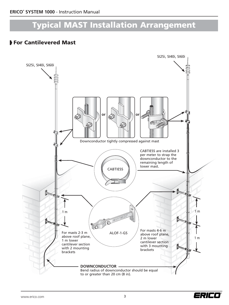### **Typical MAST Installation Arrangement**

### **For Cantilevered Mast**